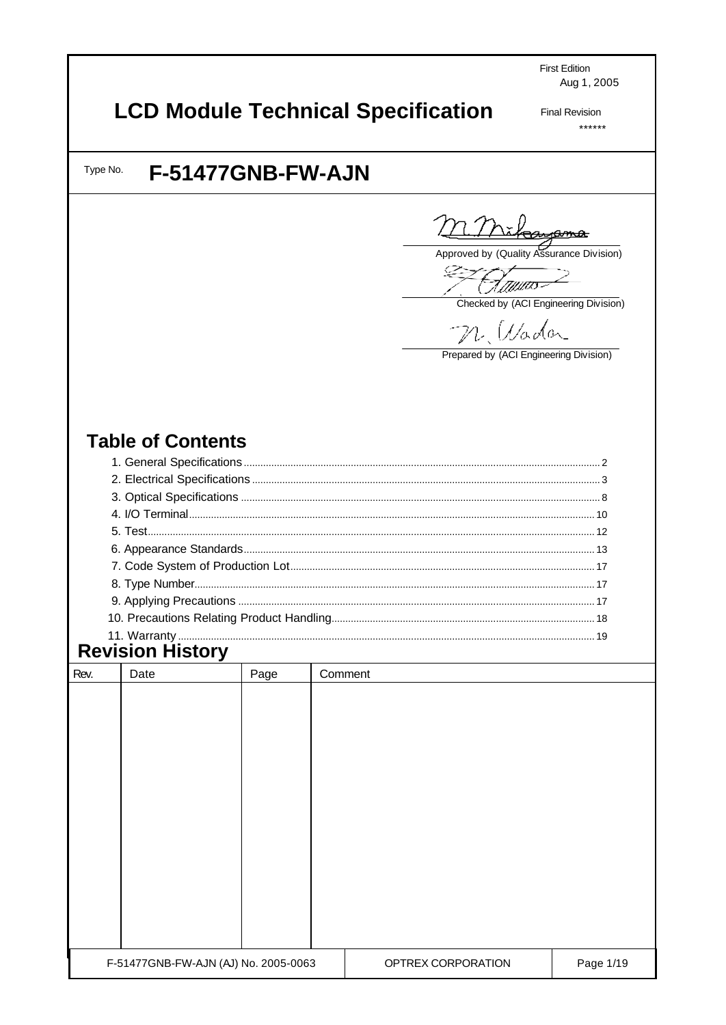**First Edition** Aug 1, 2005

# **LCD Module Technical Specification**

**Final Revision**  $******$ 

Type No.

## F-51477GNB-FW-AJN

štayama

Approved by (Quality Assurance Division)

F*ann*o

Checked by (ACI Engineering Division)

*Uado*n

Prepared by (ACI Engineering Division)

### **Table of Contents**

| 11 Warranty | $\overline{10}$ |
|-------------|-----------------|

# **Revision History**

| Rev. | Date                                 | Page | Comment |                    |           |
|------|--------------------------------------|------|---------|--------------------|-----------|
|      |                                      |      |         |                    |           |
|      |                                      |      |         |                    |           |
|      |                                      |      |         |                    |           |
|      |                                      |      |         |                    |           |
|      |                                      |      |         |                    |           |
|      |                                      |      |         |                    |           |
|      |                                      |      |         |                    |           |
|      |                                      |      |         |                    |           |
|      |                                      |      |         |                    |           |
|      |                                      |      |         |                    |           |
|      |                                      |      |         |                    |           |
|      |                                      |      |         |                    |           |
|      |                                      |      |         |                    |           |
|      | F-51477GNB-FW-AJN (AJ) No. 2005-0063 |      |         | OPTREX CORPORATION | Page 1/19 |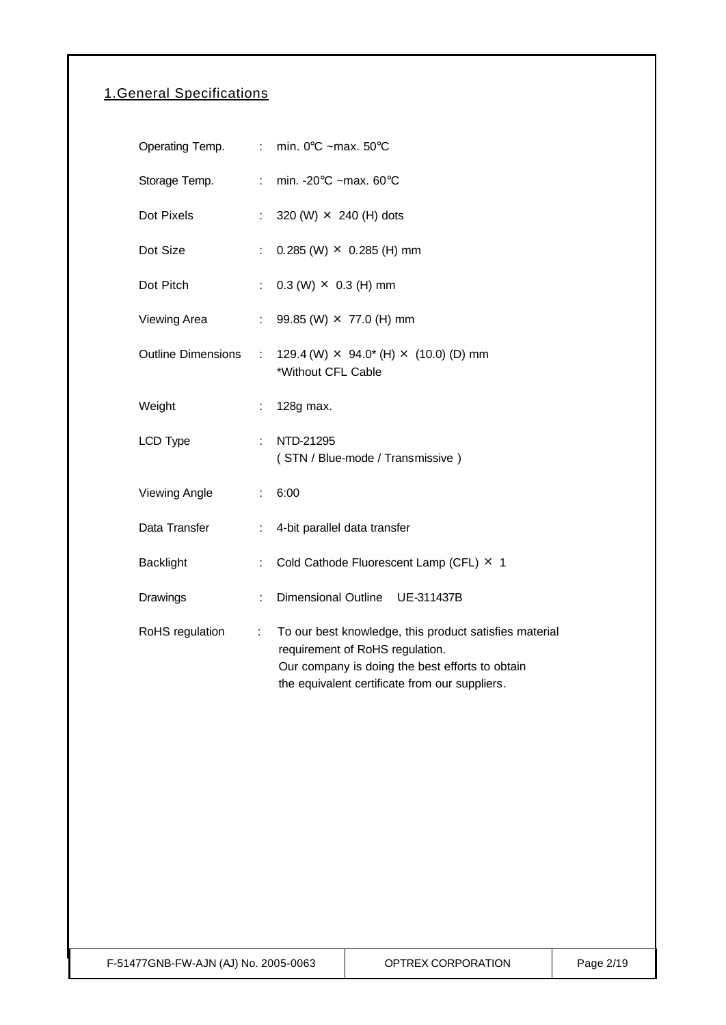### 1.General Specifications

| Operating Temp.           |                              | : min. 0 $^{\circ}$ C ~max. 50 $^{\circ}$ C                                                                                                                                                    |
|---------------------------|------------------------------|------------------------------------------------------------------------------------------------------------------------------------------------------------------------------------------------|
| Storage Temp.             | $\mathcal{L}^{\mathcal{L}}$  | min. - $20^{\circ}$ C ~max. 60 $^{\circ}$ C                                                                                                                                                    |
| Dot Pixels                | $\mathcal{L}^{\mathcal{L}}$  | 320 (W) $\times$ 240 (H) dots                                                                                                                                                                  |
| Dot Size                  | ÷.                           | $0.285$ (W) $\times$ 0.285 (H) mm                                                                                                                                                              |
| Dot Pitch                 | $\mathcal{C}^{\mathcal{C}}$  | $0.3$ (W) $\times$ 0.3 (H) mm                                                                                                                                                                  |
| Viewing Area              | $\mathcal{L}_{\mathrm{max}}$ | 99.85 (W) × 77.0 (H) mm                                                                                                                                                                        |
| <b>Outline Dimensions</b> | $\mathbb{Z}^{\times}$        | 129.4 (W) $\times$ 94.0* (H) $\times$ (10.0) (D) mm<br>*Without CFL Cable                                                                                                                      |
| Weight                    | t.                           | 128g max.                                                                                                                                                                                      |
| LCD Type                  | ÷.                           | NTD-21295<br>(STN / Blue-mode / Transmissive)                                                                                                                                                  |
| <b>Viewing Angle</b>      | t.                           | 6:00                                                                                                                                                                                           |
| Data Transfer             | $\mathcal{L}_{\mathrm{max}}$ | 4-bit parallel data transfer                                                                                                                                                                   |
| <b>Backlight</b>          | t.                           | Cold Cathode Fluorescent Lamp (CFL) × 1                                                                                                                                                        |
| Drawings                  | ÷.                           | <b>Dimensional Outline</b><br>UE-311437B                                                                                                                                                       |
| RoHS regulation           | ÷                            | To our best knowledge, this product satisfies material<br>requirement of RoHS regulation.<br>Our company is doing the best efforts to obtain<br>the equivalent certificate from our suppliers. |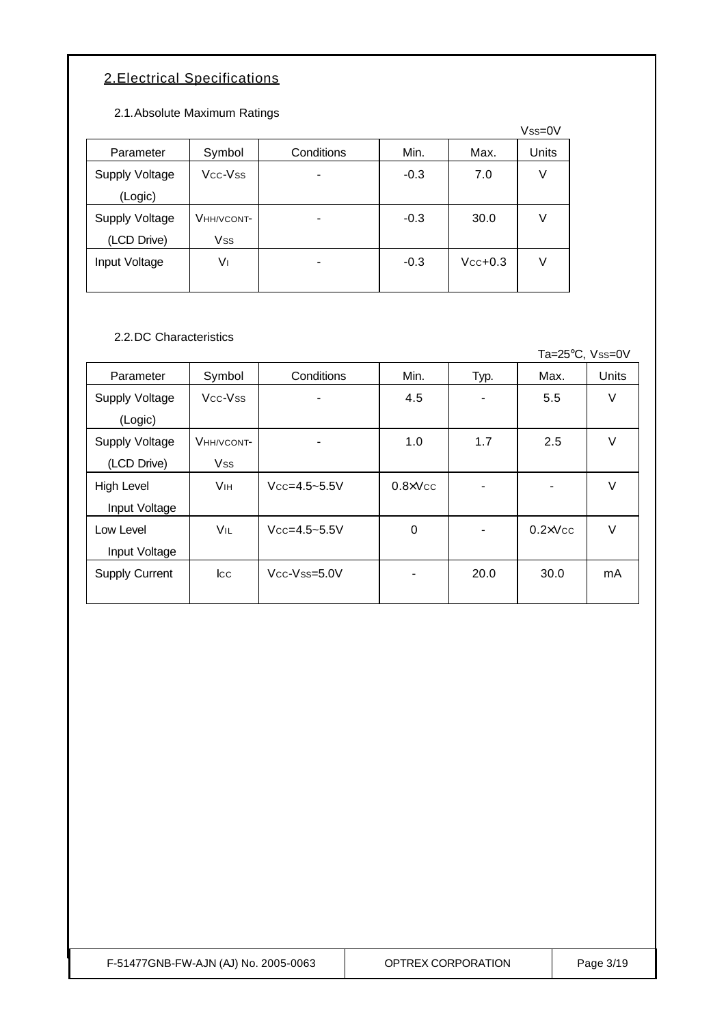### 2.Electrical Specifications

2.1.Absolute Maximum Ratings

|                |            |            |        |           | $Vss=0V$ |
|----------------|------------|------------|--------|-----------|----------|
| Parameter      | Symbol     | Conditions | Min.   | Max.      | Units    |
| Supply Voltage | Vcc-Vss    |            | $-0.3$ | 7.0       | V        |
| (Logic)        |            |            |        |           |          |
| Supply Voltage | VHH/VCONT- |            | $-0.3$ | 30.0      | V        |
| (LCD Drive)    | Vss        |            |        |           |          |
| Input Voltage  | V١         |            | $-0.3$ | $Vcc+0.3$ | V        |
|                |            |            |        |           |          |

2.2.DC Characteristics

Ta=25°C, Vss=0V

| Parameter             | Symbol                | Conditions               | Min.              | Typ. | Max.              | Units  |
|-----------------------|-----------------------|--------------------------|-------------------|------|-------------------|--------|
| <b>Supply Voltage</b> | Vcc-Vss               | $\blacksquare$           | 4.5               | -    | 5.5               | V      |
| (Logic)               |                       |                          |                   |      |                   |        |
| Supply Voltage        | VHH/VCONT-            | $\overline{\phantom{a}}$ | 1.0               | 1.7  | 2.5               | $\vee$ |
| (LCD Drive)           | <b>Vss</b>            |                          |                   |      |                   |        |
| <b>High Level</b>     | <b>V<sub>IH</sub></b> | $Vcc = 4.5 - 5.5V$       | $0.8 \times V$ cc |      |                   | $\vee$ |
| Input Voltage         |                       |                          |                   |      |                   |        |
| Low Level             | VIL                   | $Vcc = 4.5 - 5.5V$       | $\mathbf 0$       |      | $0.2 \times V$ cc | $\vee$ |
| Input Voltage         |                       |                          |                   |      |                   |        |
| Supply Current        | $_{\rm lcc}$          | $Vcc-Vss=5.0V$           |                   | 20.0 | 30.0              | mA     |
|                       |                       |                          |                   |      |                   |        |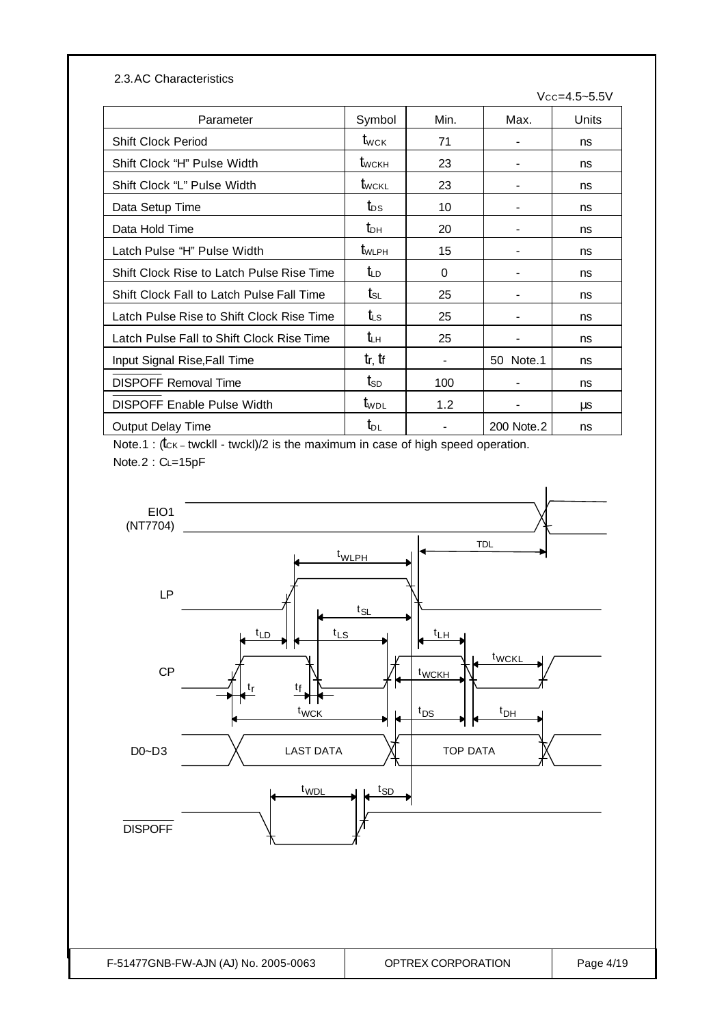| 2.3.AC Characteristics                    |                                 |      |            |                    |
|-------------------------------------------|---------------------------------|------|------------|--------------------|
|                                           |                                 |      |            | $Vcc = 4.5 - 5.5V$ |
| Parameter                                 | Symbol                          | Min. | Max.       | Units              |
| <b>Shift Clock Period</b>                 | $t_{\scriptscriptstyle\rm WCK}$ | 71   |            | ns                 |
| Shift Clock "H" Pulse Width               | $t_{\text{WCKH}}$               | 23   |            | ns                 |
| Shift Clock "L" Pulse Width               | <b>t</b> wckl                   | 23   |            | ns                 |
| Data Setup Time                           | $t_{DS}$                        | 10   |            | ns                 |
| Data Hold Time                            | $t_{\text{DH}}$                 | 20   |            | ns                 |
| Latch Pulse "H" Pulse Width               | $t_{WLPH}$                      | 15   |            | ns                 |
| Shift Clock Rise to Latch Pulse Rise Time | $t_{LD}$                        | 0    |            | ns                 |
| Shift Clock Fall to Latch Pulse Fall Time | $t_{\scriptscriptstyle\rm SL}$  | 25   |            | ns                 |
| Latch Pulse Rise to Shift Clock Rise Time | $t_{\rm LS}$                    | 25   |            | ns                 |
| Latch Pulse Fall to Shift Clock Rise Time | $t_{LH}$                        | 25   |            | ns                 |
| Input Signal Rise, Fall Time              | $t_r$ , $t_f$                   |      | 50 Note.1  | ns                 |
| <b>DISPOFF Removal Time</b>               | $t_{SD}$                        | 100  |            | ns                 |
| <b>DISPOFF Enable Pulse Width</b>         | t <sub>wpl</sub>                | 1.2  |            | μs                 |
| <b>Output Delay Time</b>                  | $t_{DL}$                        |      | 200 Note.2 | ns                 |

Note.1 : ( $tc$ K – twckll - twckl)/2 is the maximum in case of high speed operation. Note.2 : CL=15pF

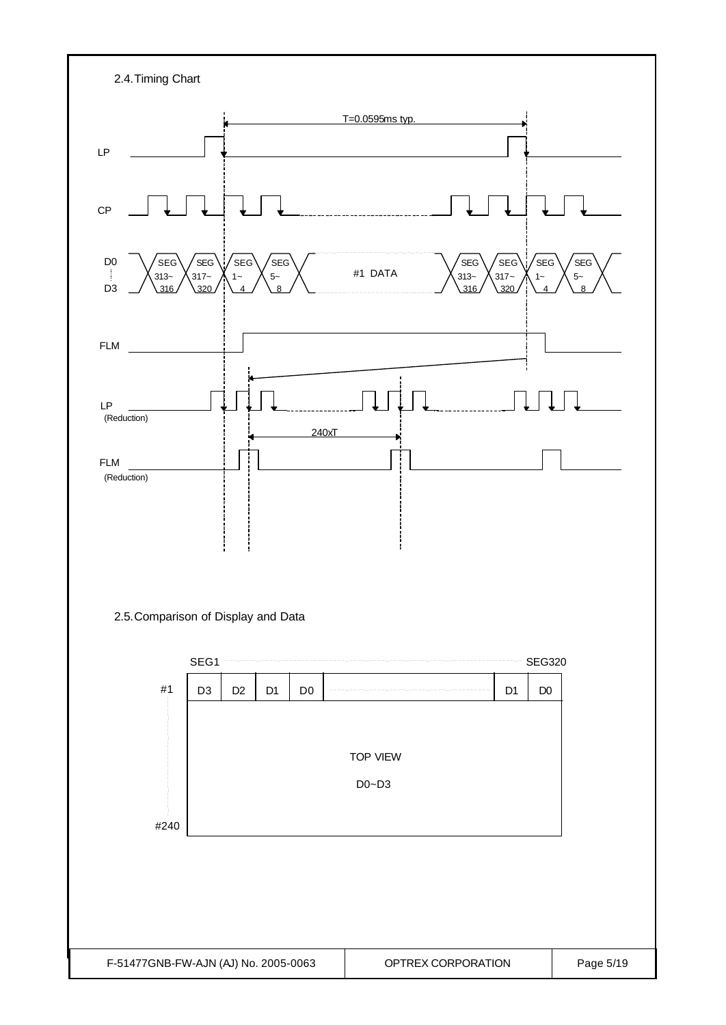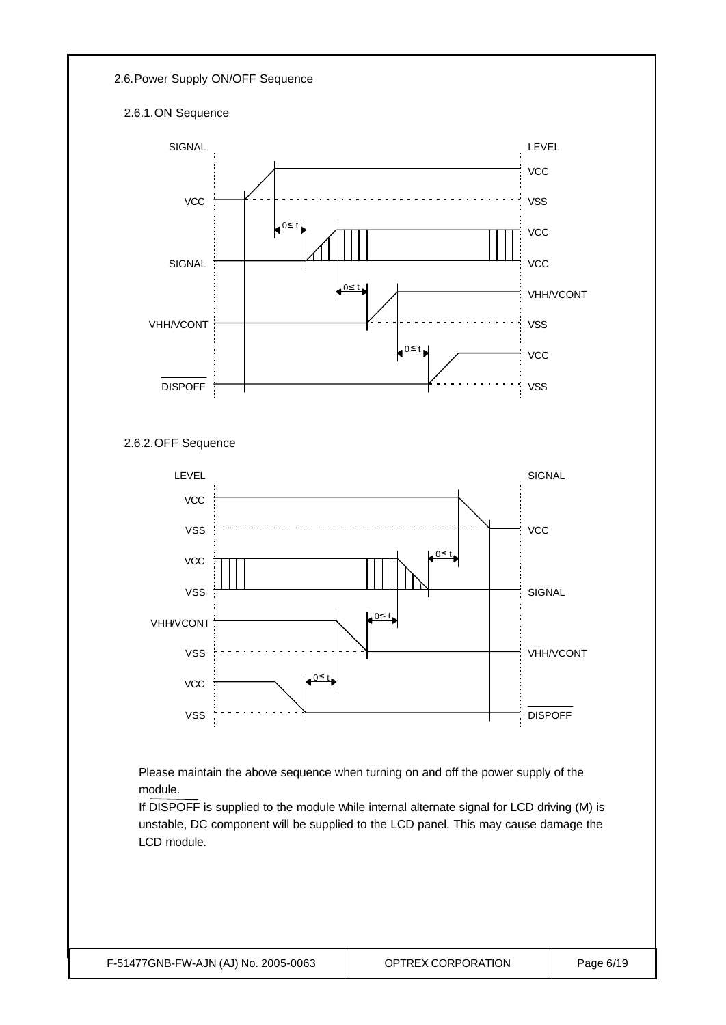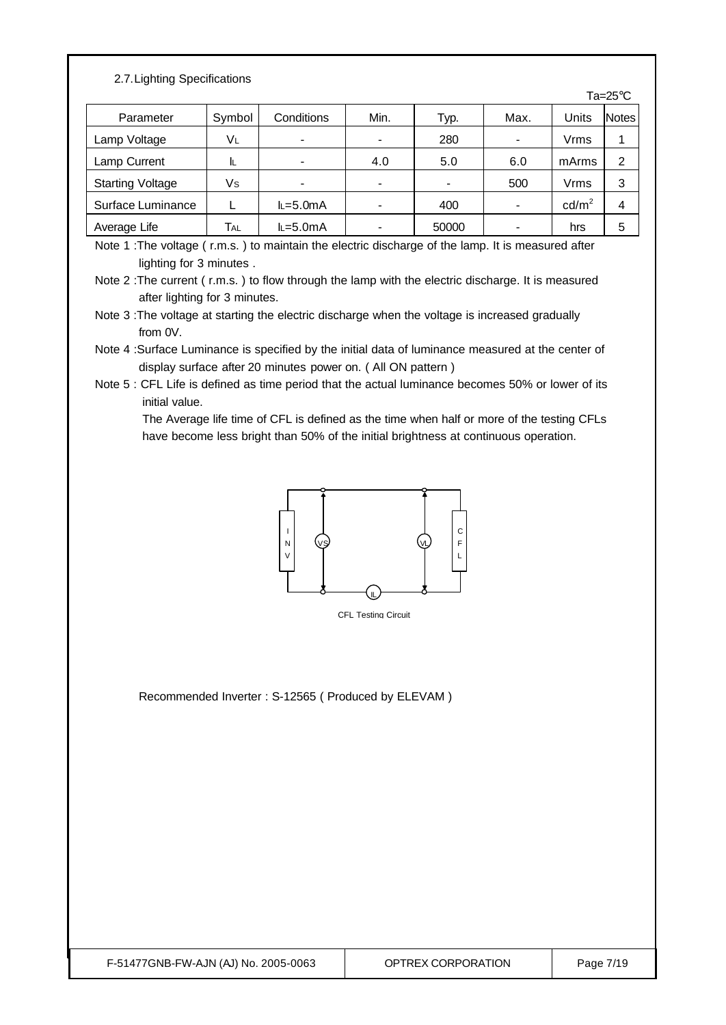#### 2.7.Lighting Specifications

|                         |        |             |                          |       |      |                 | Ta= $25^{\circ}$ C |
|-------------------------|--------|-------------|--------------------------|-------|------|-----------------|--------------------|
| Parameter               | Symbol | Conditions  | Min.                     | Typ.  | Max. | Units           | <b>Notes</b>       |
| Lamp Voltage            | VL     | -           | $\overline{\phantom{a}}$ | 280   |      | Vrms            |                    |
| Lamp Current            | IL.    |             | 4.0                      | 5.0   | 6.0  | mArms           | 2                  |
| <b>Starting Voltage</b> | Vs     |             | -                        |       | 500  | Vrms            | 3                  |
| Surface Luminance       |        | $L = 5.0mA$ | -                        | 400   |      | $\text{cd/m}^2$ | 4                  |
| Average Life            | Tal    | $L=5.0mA$   | -                        | 50000 |      | hrs             | 5                  |

Note 1 :The voltage ( r.m.s. ) to maintain the electric discharge of the lamp. It is measured after lighting for 3 minutes .

Note 3 :The voltage at starting the electric discharge when the voltage is increased gradually from 0V.

Note 4 :Surface Luminance is specified by the initial data of luminance measured at the center of display surface after 20 minutes power on. ( All ON pattern )

Note 5 : CFL Life is defined as time period that the actual luminance becomes 50% or lower of its initial value.

 The Average life time of CFL is defined as the time when half or more of the testing CFLs have become less bright than 50% of the initial brightness at continuous operation.



CFL Testing Circuit

Recommended Inverter : S-12565 ( Produced by ELEVAM )

Note 2 :The current ( r.m.s. ) to flow through the lamp with the electric discharge. It is measured after lighting for 3 minutes.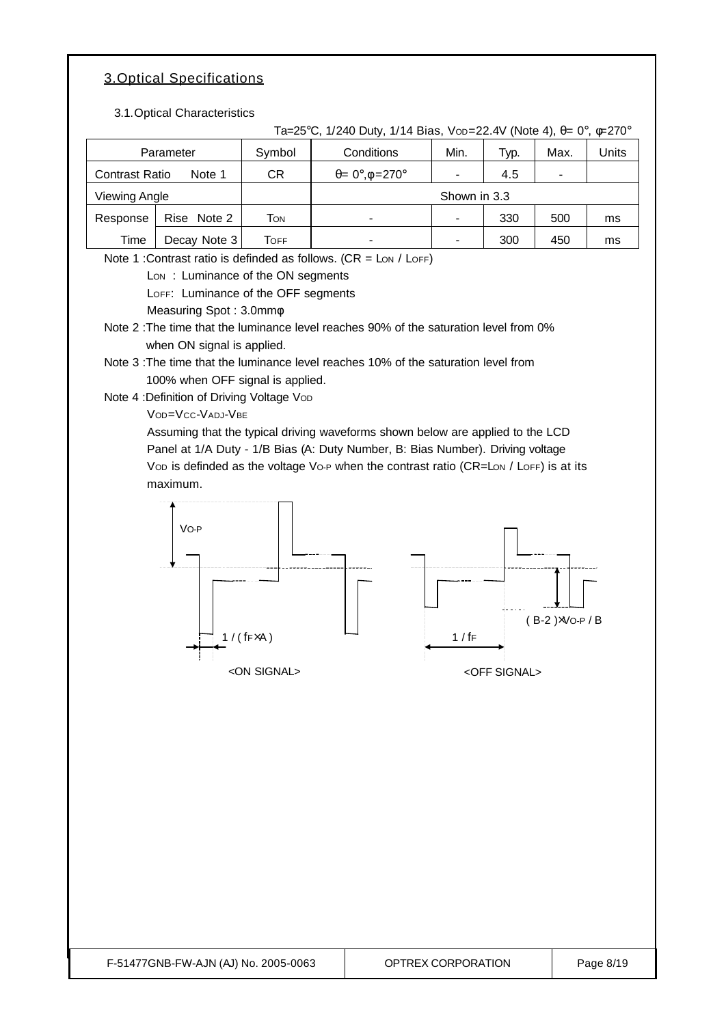### 3.Optical Specifications

3.1. Optical Characteristic

|                      | 3.1. Optical Unaracteristics                                                                                                                                                                                                                                                                                                                                                                                                                                                                                                                                                                                                                                                                                                                                                                                                            |                                            | Ta=25°C, 1/240 Duty, 1/14 Bias, Vop=22.4V (Note 4), $\theta = 0^{\circ}$ , $\phi = 270^{\circ}$ |                    |                |                       |                          |           |
|----------------------|-----------------------------------------------------------------------------------------------------------------------------------------------------------------------------------------------------------------------------------------------------------------------------------------------------------------------------------------------------------------------------------------------------------------------------------------------------------------------------------------------------------------------------------------------------------------------------------------------------------------------------------------------------------------------------------------------------------------------------------------------------------------------------------------------------------------------------------------|--------------------------------------------|-------------------------------------------------------------------------------------------------|--------------------|----------------|-----------------------|--------------------------|-----------|
| Parameter            |                                                                                                                                                                                                                                                                                                                                                                                                                                                                                                                                                                                                                                                                                                                                                                                                                                         | Symbol                                     | Conditions                                                                                      |                    | Min.           | Typ.                  | Max.                     | Units     |
|                      | <b>Contrast Ratio</b><br>Note 1                                                                                                                                                                                                                                                                                                                                                                                                                                                                                                                                                                                                                                                                                                                                                                                                         |                                            | $\theta = 0^\circ, \phi = 270^\circ$                                                            |                    | ÷,             | 4.5                   |                          |           |
| <b>Viewing Angle</b> |                                                                                                                                                                                                                                                                                                                                                                                                                                                                                                                                                                                                                                                                                                                                                                                                                                         |                                            |                                                                                                 |                    | Shown in 3.3   |                       |                          |           |
| Response             | Rise Note 2                                                                                                                                                                                                                                                                                                                                                                                                                                                                                                                                                                                                                                                                                                                                                                                                                             | <b>TON</b>                                 |                                                                                                 |                    | $\overline{a}$ | 330                   | 500                      | ms        |
| Time                 | Decay Note 3                                                                                                                                                                                                                                                                                                                                                                                                                                                                                                                                                                                                                                                                                                                                                                                                                            | <b>TOFF</b>                                |                                                                                                 |                    | $\overline{a}$ | 300                   | 450                      | ms        |
|                      | Note 1 : Contrast ratio is definded as follows. $(CR = \text{Lon}/\text{LOFF})$<br>Lon: Luminance of the ON segments<br>LOFF: Luminance of the OFF segments<br>Measuring Spot: 3.0mm $\phi$<br>Note 2: The time that the luminance level reaches 90% of the saturation level from 0%<br>when ON signal is applied.<br>Note 3: The time that the luminance level reaches 10% of the saturation level from<br>100% when OFF signal is applied.<br>Note 4 : Definition of Driving Voltage Vop<br>VOD=VCC-VADJ-VBE<br>Assuming that the typical driving waveforms shown below are applied to the LCD<br>Panel at 1/A Duty - 1/B Bias (A: Duty Number, B: Bias Number). Driving voltage<br>Vop is definded as the voltage Vo-P when the contrast ratio (CR=Lon / LoFF) is at its<br>maximum.<br>Vo-P<br>F-51477GNB-FW-AJN (AJ) No. 2005-0063 | $1 / (fF \times A)$<br><on signal=""></on> |                                                                                                 | OPTREX CORPORATION | 1/fF           | <off signal=""></off> | $(B-2) \times V$ O-P / B | Page 8/19 |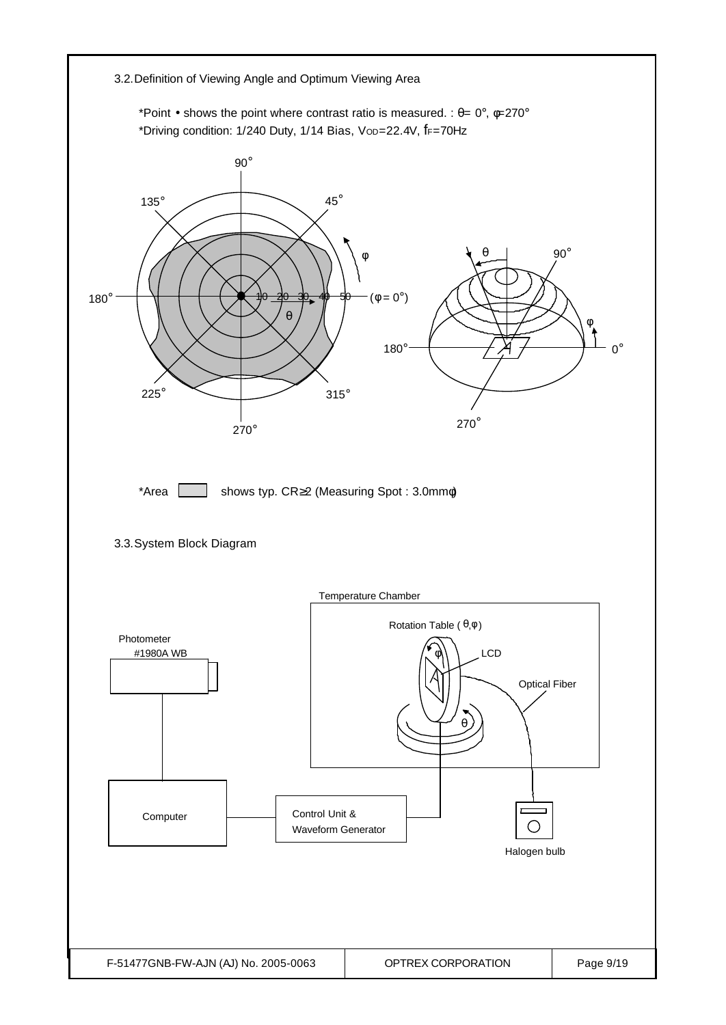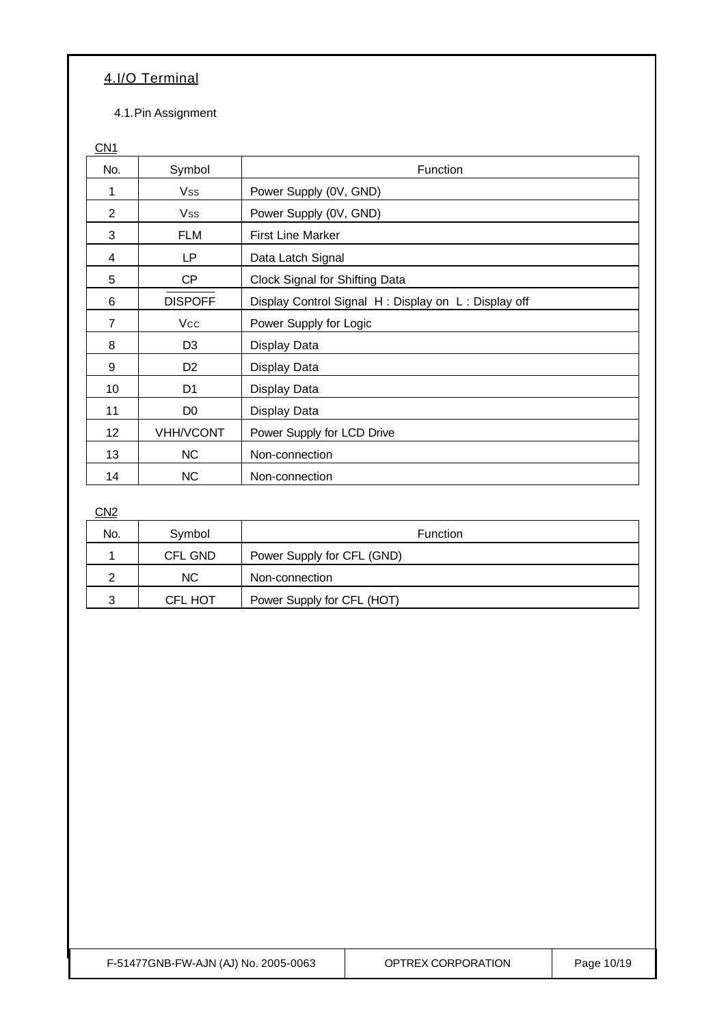### 4.I/O Terminal

4.1.Pin Assignment

 $CN1$ 

| No.            | Symbol           | Function                                            |  |  |
|----------------|------------------|-----------------------------------------------------|--|--|
| 1              | <b>Vss</b>       | Power Supply (0V, GND)                              |  |  |
| $\overline{2}$ | <b>Vss</b>       | Power Supply (0V, GND)                              |  |  |
| 3              | <b>FLM</b>       | <b>First Line Marker</b>                            |  |  |
| 4              | <b>LP</b>        | Data Latch Signal                                   |  |  |
| 5              | CP               | Clock Signal for Shifting Data                      |  |  |
| 6              | <b>DISPOFF</b>   | Display Control Signal H: Display on L: Display off |  |  |
| 7              | <b>Vcc</b>       | Power Supply for Logic                              |  |  |
| 8              | D <sub>3</sub>   | Display Data                                        |  |  |
| 9              | D <sub>2</sub>   | Display Data                                        |  |  |
| 10             | D <sub>1</sub>   | Display Data                                        |  |  |
| 11             | D <sub>0</sub>   | Display Data                                        |  |  |
| 12             | <b>VHH/VCONT</b> | Power Supply for LCD Drive                          |  |  |
| 13             | <b>NC</b>        | Non-connection                                      |  |  |
| 14             | <b>NC</b>        | Non-connection                                      |  |  |

C<sub>N2</sub>

| No. | Symbol         | Function                   |
|-----|----------------|----------------------------|
|     | <b>CFL GND</b> | Power Supply for CFL (GND) |
|     | NC.            | Non-connection             |
| 2   | <b>CFL HOT</b> | Power Supply for CFL (HOT) |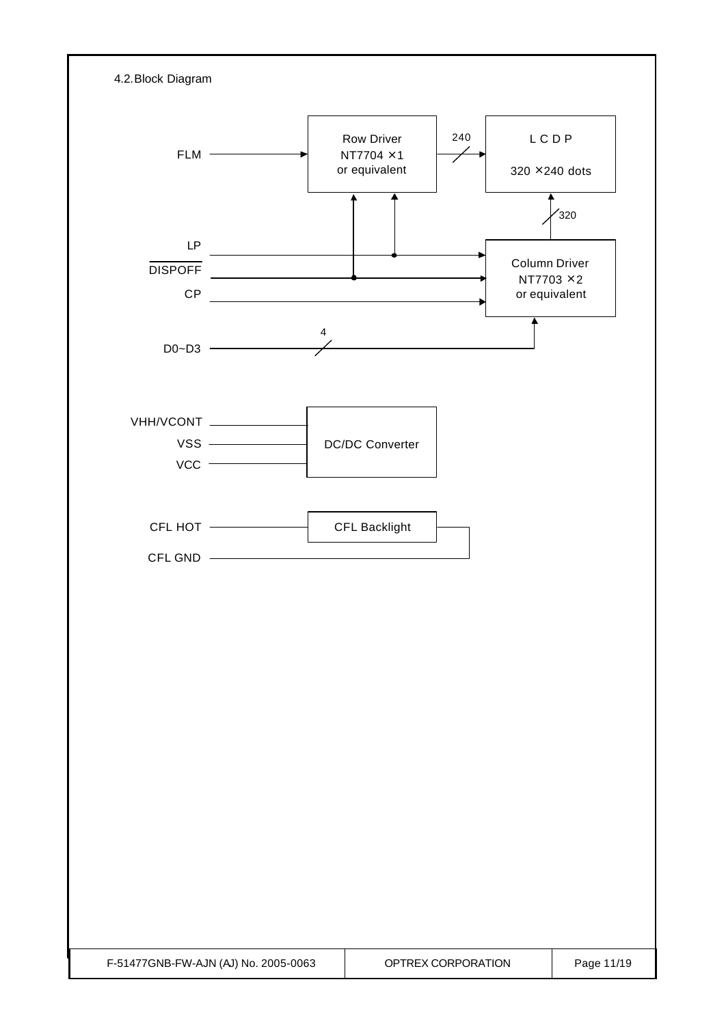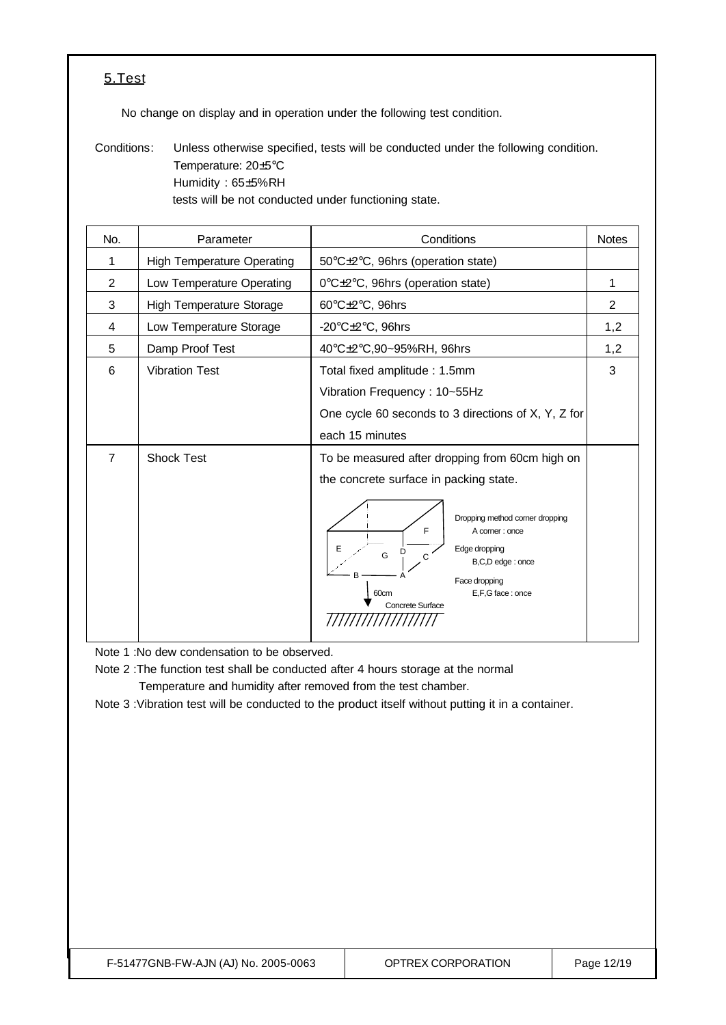### 5.Test

No change on display and in operation under the following test condition.

Conditions: Unless otherwise specified, tests will be conducted under the following condition. Temperature: 20±5°C Humidity : 65±5%RH tests will be not conducted under functioning state.

| No.            | Parameter                         | Conditions                                                                                                                                                                                                                                                                  | <b>Notes</b>   |
|----------------|-----------------------------------|-----------------------------------------------------------------------------------------------------------------------------------------------------------------------------------------------------------------------------------------------------------------------------|----------------|
| 1              | <b>High Temperature Operating</b> | 50°C±2°C, 96hrs (operation state)                                                                                                                                                                                                                                           |                |
| $\overline{2}$ | Low Temperature Operating         | 0°C±2°C, 96hrs (operation state)                                                                                                                                                                                                                                            | 1              |
| 3              | <b>High Temperature Storage</b>   | 60°C±2°C, 96hrs                                                                                                                                                                                                                                                             | $\overline{2}$ |
| 4              | Low Temperature Storage           | -20 $\textdegree$ C $\pm$ 2 $\textdegree$ C, 96hrs                                                                                                                                                                                                                          | 1,2            |
| 5              | Damp Proof Test                   | 40°C±2°C,90~95%RH, 96hrs                                                                                                                                                                                                                                                    | 1,2            |
| 6              | <b>Vibration Test</b>             | Total fixed amplitude: 1.5mm<br>Vibration Frequency: 10~55Hz<br>One cycle 60 seconds to 3 directions of X, Y, Z for<br>each 15 minutes                                                                                                                                      | 3              |
| $\overline{7}$ | <b>Shock Test</b>                 | To be measured after dropping from 60cm high on<br>the concrete surface in packing state.<br>Dropping method corner dropping<br>F<br>A corner : once<br>Edge dropping<br>G<br>C<br>B,C,D edge: once<br>Face dropping<br>E,F,G face: once<br>60cm<br><b>Concrete Surface</b> |                |

Note 1 :No dew condensation to be observed.

Note 2 :The function test shall be conducted after 4 hours storage at the normal Temperature and humidity after removed from the test chamber.

Note 3 :Vibration test will be conducted to the product itself without putting it in a container.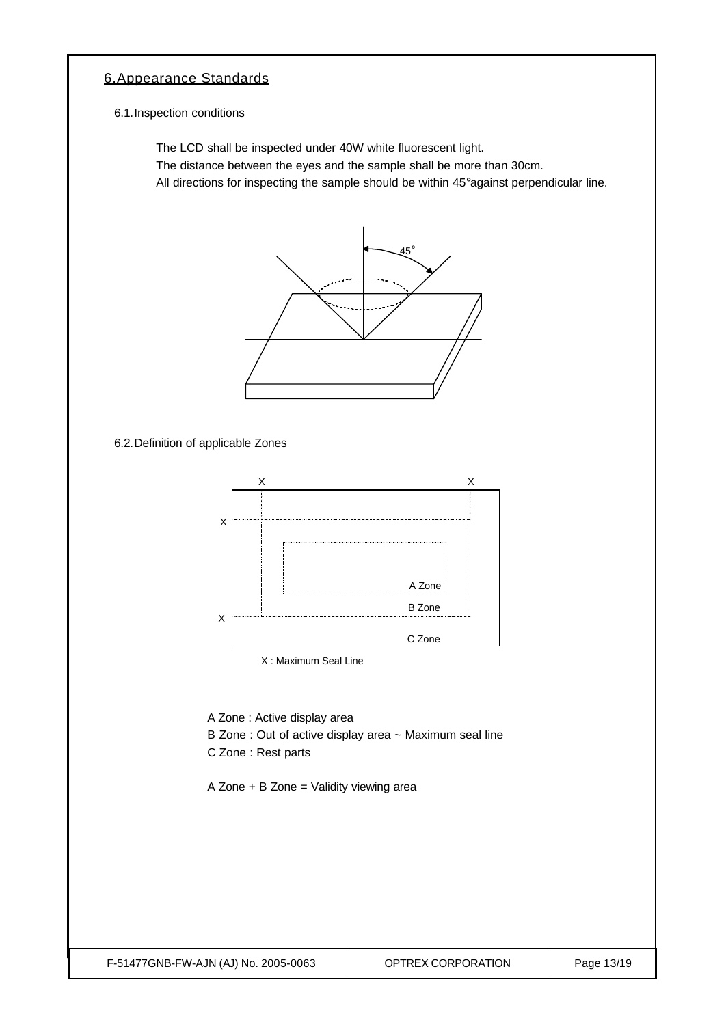### 6.Appearance Standards

6.1.Inspection conditions

The LCD shall be inspected under 40W white fluorescent light.

The distance between the eyes and the sample shall be more than 30cm.

All directions for inspecting the sample should be within 45°against perpendicular line.



6.2.Definition of applicable Zones



X : Maximum Seal Line

A Zone : Active display area

- B Zone : Out of active display area ~ Maximum seal line
- C Zone : Rest parts

A Zone + B Zone = Validity viewing area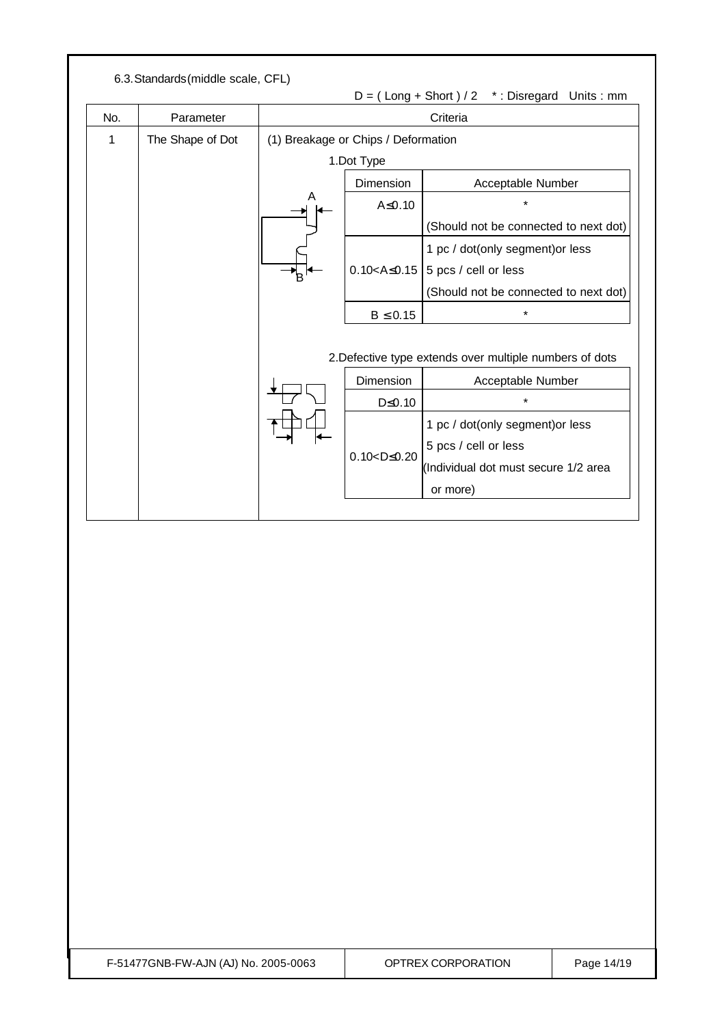|     |                  | $D = (Long + Short) / 2$ *: Disregard Units: mm |                                     |                                                                              |
|-----|------------------|-------------------------------------------------|-------------------------------------|------------------------------------------------------------------------------|
| No. | Parameter        |                                                 |                                     | Criteria                                                                     |
| 1   | The Shape of Dot |                                                 | (1) Breakage or Chips / Deformation |                                                                              |
|     |                  |                                                 | 1.Dot Type                          |                                                                              |
|     |                  | Α                                               | Dimension                           | Acceptable Number                                                            |
|     |                  |                                                 | $A \le 0.10$                        |                                                                              |
|     |                  |                                                 |                                     | (Should not be connected to next dot)                                        |
|     |                  |                                                 |                                     | 1 pc / dot(only segment) or less                                             |
|     |                  |                                                 | $0.10 < A \le 0.15$                 | 5 pcs / cell or less                                                         |
|     |                  |                                                 |                                     | (Should not be connected to next dot)                                        |
|     |                  |                                                 | $B \leq 0.15$                       | $\star$                                                                      |
|     |                  |                                                 | Dimension                           | 2. Defective type extends over multiple numbers of dots<br>Acceptable Number |
|     |                  |                                                 | $D \leq 0.10$                       | $\star$                                                                      |
|     |                  |                                                 |                                     | 1 pc / dot(only segment) or less                                             |
|     |                  |                                                 |                                     | 5 pcs / cell or less                                                         |
|     |                  |                                                 | $0.10 < D \le 0.20$                 | (Individual dot must secure 1/2 area                                         |
|     |                  |                                                 |                                     | or more)                                                                     |
|     |                  |                                                 |                                     |                                                                              |
|     |                  |                                                 |                                     |                                                                              |
|     |                  |                                                 |                                     |                                                                              |
|     |                  |                                                 |                                     |                                                                              |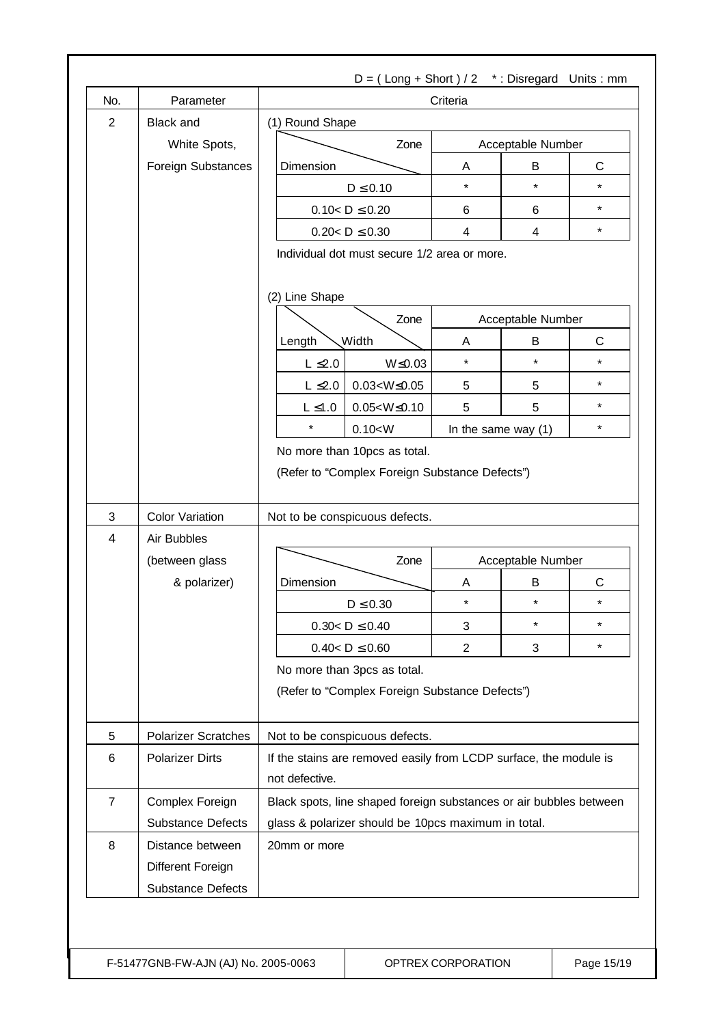| No.            | Parameter                             | Criteria                                                                       |      |                     |                         |              |
|----------------|---------------------------------------|--------------------------------------------------------------------------------|------|---------------------|-------------------------|--------------|
| $\overline{2}$ | <b>Black and</b>                      | (1) Round Shape                                                                |      |                     |                         |              |
|                | White Spots,                          |                                                                                | Zone | Acceptable Number   |                         |              |
|                | Foreign Substances                    | Dimension                                                                      |      | A                   | B                       | $\mathsf{C}$ |
|                |                                       | $D \leq 0.10$                                                                  |      | $\star$             | $\star$                 | $\star$      |
|                |                                       | $0.10 < D \le 0.20$                                                            |      | 6                   | 6                       | $\star$      |
|                |                                       | $0.20 < D \le 0.30$                                                            |      | 4                   | $\overline{\mathbf{4}}$ | $\star$      |
|                |                                       | Individual dot must secure 1/2 area or more.                                   |      |                     |                         |              |
|                |                                       | (2) Line Shape<br>Zone                                                         |      | Acceptable Number   |                         |              |
|                |                                       | <b>Width</b>                                                                   |      |                     | B                       | C            |
|                |                                       | Length<br>$W \le 0.03$<br>$L \leq 2.0$                                         |      | Α<br>$\star$        | $\star$                 | $\star$      |
|                |                                       | $L \leq 2.0$<br>$0.03 < W \le 0.05$                                            |      | 5                   | 5                       | $\star$      |
|                |                                       | $0.05 < W \le 0.10$<br>$L \leq 1.0$                                            |      | 5                   | 5                       | $\star$      |
|                |                                       | $\star$<br>0.10 < W                                                            |      | In the same way (1) |                         | $\star$      |
|                |                                       |                                                                                |      |                     |                         |              |
|                |                                       | No more than 10pcs as total.<br>(Refer to "Complex Foreign Substance Defects") |      |                     |                         |              |
| 3<br>4         | <b>Color Variation</b><br>Air Bubbles | Not to be conspicuous defects.                                                 |      |                     |                         |              |
|                | (between glass                        |                                                                                | Zone |                     | Acceptable Number       |              |
|                | & polarizer)                          | Dimension                                                                      |      | Α                   | В                       | C            |
|                |                                       | $D \leq 0.30$                                                                  |      | $\star$             | $\star$                 | $\star$      |
|                |                                       | $0.30 < D \le 0.40$                                                            |      | 3                   | $\star$                 | $\star$      |
|                |                                       | $0.40 < D \leq 0.60$                                                           |      | $\overline{2}$      | 3                       | $\star$      |
|                |                                       | No more than 3pcs as total.<br>(Refer to "Complex Foreign Substance Defects")  |      |                     |                         |              |
| 5              | <b>Polarizer Scratches</b>            | Not to be conspicuous defects.                                                 |      |                     |                         |              |
| 6              | <b>Polarizer Dirts</b>                | If the stains are removed easily from LCDP surface, the module is              |      |                     |                         |              |
|                |                                       | not defective.                                                                 |      |                     |                         |              |
| $\overline{7}$ | Complex Foreign                       | Black spots, line shaped foreign substances or air bubbles between             |      |                     |                         |              |
|                | <b>Substance Defects</b>              | glass & polarizer should be 10pcs maximum in total.                            |      |                     |                         |              |
| 8              | Distance between                      | 20mm or more                                                                   |      |                     |                         |              |
|                | Different Foreign                     |                                                                                |      |                     |                         |              |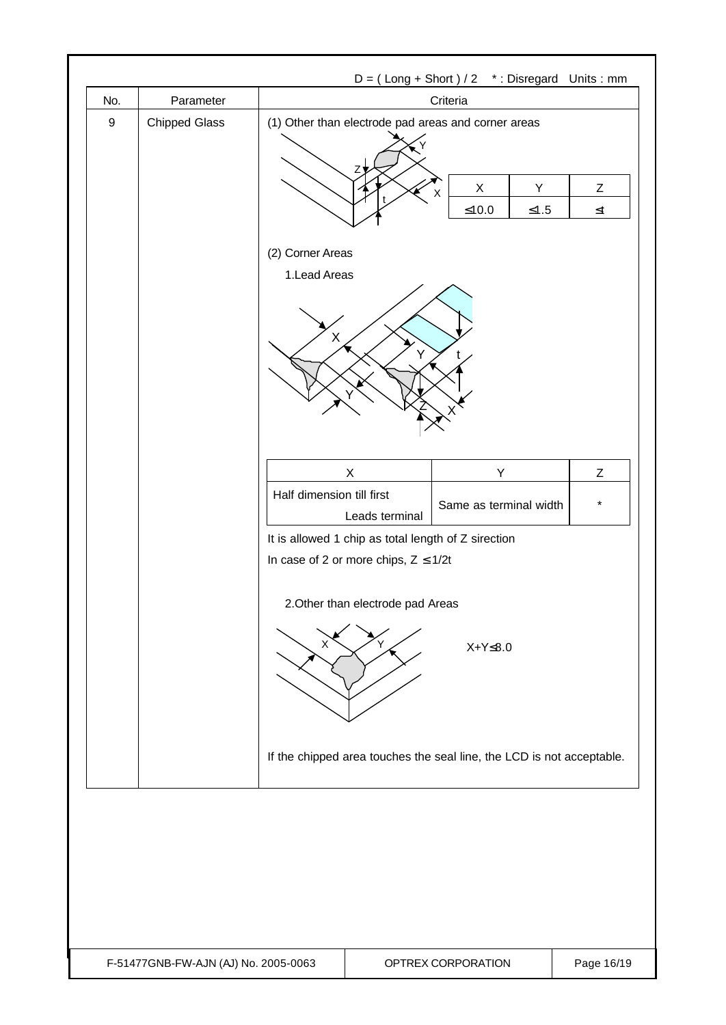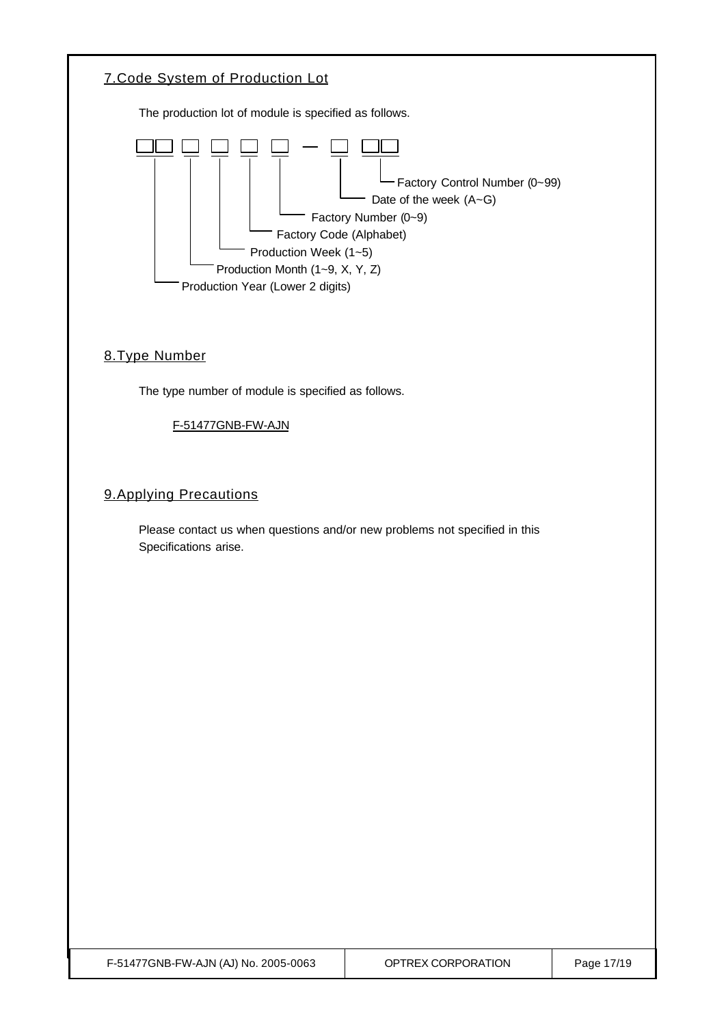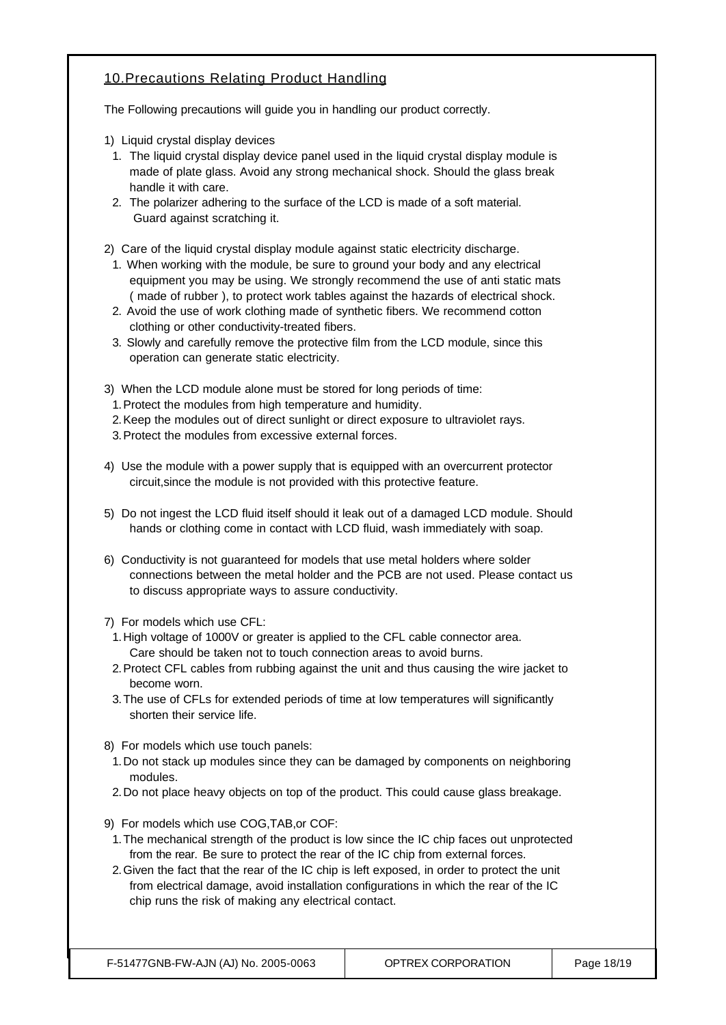### 10.Precautions Relating Product Handling

The Following precautions will guide you in handling our product correctly.

- 1) Liquid crystal display devices
- 1. The liquid crystal display device panel used in the liquid crystal display module is made of plate glass. Avoid any strong mechanical shock. Should the glass break handle it with care.
- 2. The polarizer adhering to the surface of the LCD is made of a soft material. Guard against scratching it.
- 2) Care of the liquid crystal display module against static electricity discharge.
	- 1. When working with the module, be sure to ground your body and any electrical equipment you may be using. We strongly recommend the use of anti static mats ( made of rubber ), to protect work tables against the hazards of electrical shock.
	- 2. Avoid the use of work clothing made of synthetic fibers. We recommend cotton clothing or other conductivity-treated fibers.
	- 3. Slowly and carefully remove the protective film from the LCD module, since this operation can generate static electricity.
- 3) When the LCD module alone must be stored for long periods of time:
	- 1.Protect the modules from high temperature and humidity.
- 2.Keep the modules out of direct sunlight or direct exposure to ultraviolet rays.
- 3.Protect the modules from excessive external forces.
- 4) Use the module with a power supply that is equipped with an overcurrent protector circuit,since the module is not provided with this protective feature.
- 5) Do not ingest the LCD fluid itself should it leak out of a damaged LCD module. Should hands or clothing come in contact with LCD fluid, wash immediately with soap.
- 6) Conductivity is not guaranteed for models that use metal holders where solder connections between the metal holder and the PCB are not used. Please contact us to discuss appropriate ways to assure conductivity.
- 7) For models which use CFL:
- 1.High voltage of 1000V or greater is applied to the CFL cable connector area. Care should be taken not to touch connection areas to avoid burns.
- 2.Protect CFL cables from rubbing against the unit and thus causing the wire jacket to become worn.
- 3.The use of CFLs for extended periods of time at low temperatures will significantly shorten their service life.
- 8) For models which use touch panels:
- 1.Do not stack up modules since they can be damaged by components on neighboring modules.
- 2.Do not place heavy objects on top of the product. This could cause glass breakage.
- 9) For models which use COG,TAB,or COF:
- 1.The mechanical strength of the product is low since the IC chip faces out unprotected from the rear. Be sure to protect the rear of the IC chip from external forces.
- 2.Given the fact that the rear of the IC chip is left exposed, in order to protect the unit from electrical damage, avoid installation configurations in which the rear of the IC chip runs the risk of making any electrical contact.